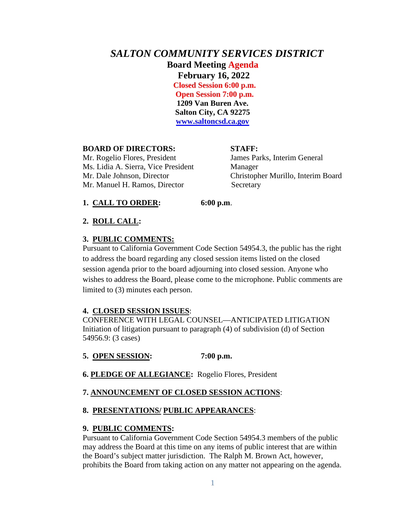# *SALTON COMMUNITY SERVICES DISTRICT* **Board Meeting Agenda February 16, 2022 Closed Session 6:00 p.m.**

 **Open Session 7:00 p.m. 1209 Van Buren Ave. Salton City, CA 92275 [www.saltoncsd.ca.gov](http://www.saltoncsd.ca.gov/)**

### **BOARD OF DIRECTORS: STAFF:**

Mr. Rogelio Flores, President James Parks, Interim General Ms. Lidia A. Sierra, Vice President Manager Mr. Dale Johnson, Director Christopher Murillo, Interim Board Mr. Manuel H. Ramos, Director Secretary

### **1. CALL TO ORDER: 6:00 p.m**.

# **2. ROLL CALL:**

## **3. PUBLIC COMMENTS:**

Pursuant to California Government Code Section 54954.3, the public has the right to address the board regarding any closed session items listed on the closed session agenda prior to the board adjourning into closed session. Anyone who wishes to address the Board, please come to the microphone. Public comments are limited to (3) minutes each person.

### **4. CLOSED SESSION ISSUES**:

CONFERENCE WITH LEGAL COUNSEL—ANTICIPATED LITIGATION Initiation of litigation pursuant to paragraph (4) of subdivision (d) of Section 54956.9: (3 cases)

# **5. OPEN SESSION: 7:00 p.m.**

**6. PLEDGE OF ALLEGIANCE:** Rogelio Flores, President

# **7. ANNOUNCEMENT OF CLOSED SESSION ACTIONS**:

# **8. PRESENTATIONS/ PUBLIC APPEARANCES**:

### **9. PUBLIC COMMENTS:**

Pursuant to California Government Code Section 54954.3 members of the public may address the Board at this time on any items of public interest that are within the Board's subject matter jurisdiction. The Ralph M. Brown Act, however, prohibits the Board from taking action on any matter not appearing on the agenda.